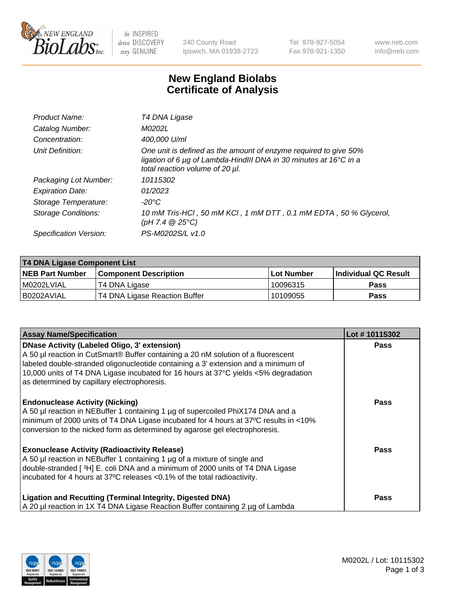

 $be$  INSPIRED drive DISCOVERY stay GENUINE

240 County Road Ipswich, MA 01938-2723 Tel 978-927-5054 Fax 978-921-1350 www.neb.com info@neb.com

## **New England Biolabs Certificate of Analysis**

| T4 DNA Ligase                                                                                                                                                            |
|--------------------------------------------------------------------------------------------------------------------------------------------------------------------------|
| M0202L                                                                                                                                                                   |
| 400,000 U/ml                                                                                                                                                             |
| One unit is defined as the amount of enzyme required to give 50%<br>ligation of 6 µg of Lambda-HindIII DNA in 30 minutes at 16°C in a<br>total reaction volume of 20 µl. |
| 10115302                                                                                                                                                                 |
| 01/2023                                                                                                                                                                  |
| $-20^{\circ}$ C                                                                                                                                                          |
| 10 mM Tris-HCl, 50 mM KCl, 1 mM DTT, 0.1 mM EDTA, 50 % Glycerol,<br>(pH 7.4 $@25°C$ )                                                                                    |
| PS-M0202S/L v1.0                                                                                                                                                         |
|                                                                                                                                                                          |

| T4 DNA Ligase Component List |                               |              |                             |  |  |
|------------------------------|-------------------------------|--------------|-----------------------------|--|--|
| <b>NEB Part Number</b>       | <b>Component Description</b>  | l Lot Number | <b>Individual QC Result</b> |  |  |
| M0202LVIAL                   | T4 DNA Ligase                 | 10096315     | <b>Pass</b>                 |  |  |
| I B0202AVIAL                 | T4 DNA Ligase Reaction Buffer | 10109055     | <b>Pass</b>                 |  |  |

| <b>Assay Name/Specification</b>                                                                                                                                                                                                                                                                                                                                      | Lot #10115302 |
|----------------------------------------------------------------------------------------------------------------------------------------------------------------------------------------------------------------------------------------------------------------------------------------------------------------------------------------------------------------------|---------------|
| <b>DNase Activity (Labeled Oligo, 3' extension)</b><br>A 50 µl reaction in CutSmart® Buffer containing a 20 nM solution of a fluorescent<br>labeled double-stranded oligonucleotide containing a 3' extension and a minimum of<br>10,000 units of T4 DNA Ligase incubated for 16 hours at 37°C yields <5% degradation<br>as determined by capillary electrophoresis. | <b>Pass</b>   |
| <b>Endonuclease Activity (Nicking)</b><br>A 50 µl reaction in NEBuffer 1 containing 1 µg of supercoiled PhiX174 DNA and a<br>minimum of 2000 units of T4 DNA Ligase incubated for 4 hours at 37°C results in <10%<br>conversion to the nicked form as determined by agarose gel electrophoresis.                                                                     | <b>Pass</b>   |
| <b>Exonuclease Activity (Radioactivity Release)</b><br>A 50 µl reaction in NEBuffer 1 containing 1 µg of a mixture of single and<br>double-stranded [3H] E. coli DNA and a minimum of 2000 units of T4 DNA Ligase<br>incubated for 4 hours at 37°C releases <0.1% of the total radioactivity.                                                                        | <b>Pass</b>   |
| <b>Ligation and Recutting (Terminal Integrity, Digested DNA)</b><br>A 20 µl reaction in 1X T4 DNA Ligase Reaction Buffer containing 2 µg of Lambda                                                                                                                                                                                                                   | Pass          |

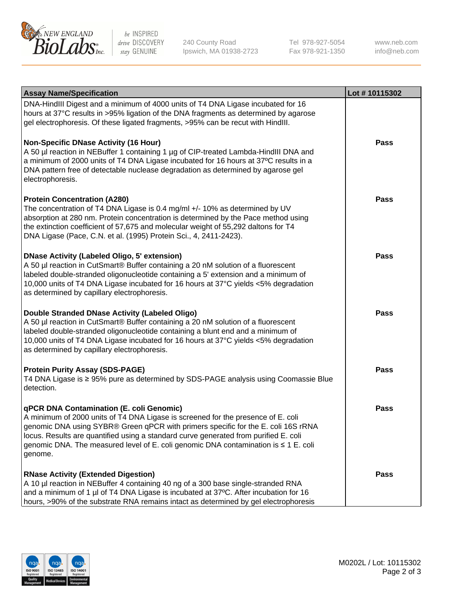

be INSPIRED drive DISCOVERY stay GENUINE

240 County Road Ipswich, MA 01938-2723 Tel 978-927-5054 Fax 978-921-1350

www.neb.com info@neb.com

| <b>Assay Name/Specification</b>                                                                                                                                                                                                                                                                                                                                                                             | Lot #10115302 |
|-------------------------------------------------------------------------------------------------------------------------------------------------------------------------------------------------------------------------------------------------------------------------------------------------------------------------------------------------------------------------------------------------------------|---------------|
| DNA-HindIII Digest and a minimum of 4000 units of T4 DNA Ligase incubated for 16<br>hours at 37°C results in >95% ligation of the DNA fragments as determined by agarose<br>gel electrophoresis. Of these ligated fragments, >95% can be recut with HindIII.                                                                                                                                                |               |
| <b>Non-Specific DNase Activity (16 Hour)</b><br>A 50 µl reaction in NEBuffer 1 containing 1 µg of CIP-treated Lambda-HindIII DNA and<br>a minimum of 2000 units of T4 DNA Ligase incubated for 16 hours at 37°C results in a<br>DNA pattern free of detectable nuclease degradation as determined by agarose gel<br>electrophoresis.                                                                        | <b>Pass</b>   |
| <b>Protein Concentration (A280)</b><br>The concentration of T4 DNA Ligase is 0.4 mg/ml +/- 10% as determined by UV<br>absorption at 280 nm. Protein concentration is determined by the Pace method using<br>the extinction coefficient of 57,675 and molecular weight of 55,292 daltons for T4<br>DNA Ligase (Pace, C.N. et al. (1995) Protein Sci., 4, 2411-2423).                                         | <b>Pass</b>   |
| <b>DNase Activity (Labeled Oligo, 5' extension)</b><br>A 50 µl reaction in CutSmart® Buffer containing a 20 nM solution of a fluorescent<br>labeled double-stranded oligonucleotide containing a 5' extension and a minimum of<br>10,000 units of T4 DNA Ligase incubated for 16 hours at 37°C yields <5% degradation<br>as determined by capillary electrophoresis.                                        | <b>Pass</b>   |
| Double Stranded DNase Activity (Labeled Oligo)<br>A 50 µl reaction in CutSmart® Buffer containing a 20 nM solution of a fluorescent<br>labeled double-stranded oligonucleotide containing a blunt end and a minimum of<br>10,000 units of T4 DNA Ligase incubated for 16 hours at 37°C yields <5% degradation<br>as determined by capillary electrophoresis.                                                | <b>Pass</b>   |
| <b>Protein Purity Assay (SDS-PAGE)</b><br>T4 DNA Ligase is ≥ 95% pure as determined by SDS-PAGE analysis using Coomassie Blue<br>detection.                                                                                                                                                                                                                                                                 | <b>Pass</b>   |
| qPCR DNA Contamination (E. coli Genomic)<br>A minimum of 2000 units of T4 DNA Ligase is screened for the presence of E. coli<br>genomic DNA using SYBR® Green qPCR with primers specific for the E. coli 16S rRNA<br>locus. Results are quantified using a standard curve generated from purified E. coli<br>genomic DNA. The measured level of E. coli genomic DNA contamination is ≤ 1 E. coli<br>genome. | Pass          |
| <b>RNase Activity (Extended Digestion)</b><br>A 10 µl reaction in NEBuffer 4 containing 40 ng of a 300 base single-stranded RNA<br>and a minimum of 1 µl of T4 DNA Ligase is incubated at 37°C. After incubation for 16<br>hours, >90% of the substrate RNA remains intact as determined by gel electrophoresis                                                                                             | Pass          |